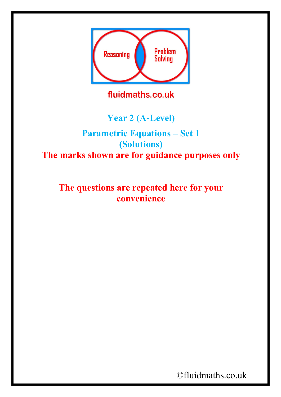

fluidmaths.co.uk

## **Year 2 (A-Level)**

## **Parametric Equations – Set 1 (Solutions) The marks shown are for guidance purposes only**

**The questions are repeated here for your convenience**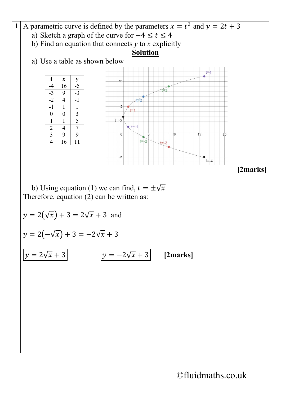

b) Using equation (1) we can find,  $t = \pm \sqrt{x}$ Therefore, equation (2) can be written as:

 $y = 2(\sqrt{x}) + 3 = 2\sqrt{x} + 3$  and  $y = 2(-\sqrt{x}) + 3 = -2\sqrt{x} + 3$  $y = 2\sqrt{x} + 3$   $y = -2\sqrt{x} + 3$  [2marks]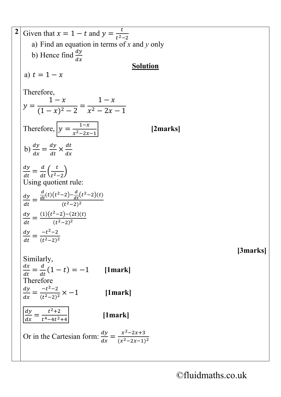**2** Given that  $x = 1 - t$  and  $y = \frac{t}{t^2-2}$ a) Find an equation in terms of *x* and *y* only b) Hence find  $\frac{dy}{dx}$  $dx$ **Solution** a)  $t = 1 - x$ Therefore,  $y = \frac{1-x}{(1-x)^2 - 2} = \frac{1-x}{x^2 - 2x - 1}$ Therefore,  $y = \frac{1-x}{x^2-2x-1}$  [2marks] b)  $\frac{dy}{dx} = \frac{dy}{dt} \times \frac{d}{dt}$  $dx$  $\frac{dy}{dt} = \frac{d}{dt} \left( \frac{t}{t^2 - 2} \right)$ Using quotient rule:  $\frac{dy}{dt} =$  $\frac{d}{dt}(t)(t^2-2)-\frac{d}{dt}(t^2-2)(t)$  $(t^2-2)^2$  $\frac{dy}{dt} = \frac{(1)(t^2-2)-(2t)(t)}{(t^2-2)^2}$  $\frac{dy}{dt} = \frac{-t^2 - 2}{(t^2 - 2)^2}$ **[3marks]** Similarly,  $\frac{dx}{dt} = \frac{d}{dt}(1-t) = -1$  [1mark] Therefore  $\frac{dy}{dx} = \frac{-t^2 - 2}{(t^2 - 2)^2} \times -1$  [1mark]  $rac{dy}{dx} = \frac{t^2 + 2}{t^4 - 4t^2 + 4}$  [1mark] Or in the Cartesian form:  $\frac{dy}{dx} = \frac{x^2-2x+3}{(x^2-2x-1)^2}$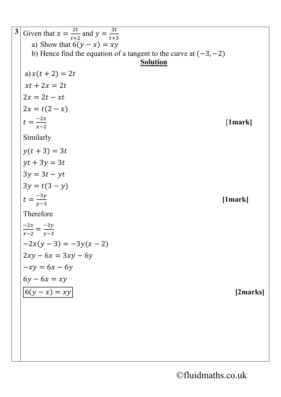**3** Given that  $x = \frac{2t}{t+2}$  and  $y = \frac{3t}{t+3}$ a) Show that  $6(y - x) = xy$ b) Hence find the equation of a tangent to the curve at  $(-3, -2)$ **Solution** a)  $x(t + 2) = 2t$  $xt + 2x = 2t$  $2x = 2t - xt$  $2x = t(2 - x)$  $t = \frac{-2x}{x-2}$  [**1mark]** Similarly  $y(t + 3) = 3t$  $yt + 3y = 3t$  $3y = 3t - yt$  $3y = t(3 - y)$  $t = \frac{-3y}{y-3}$  **[1mark]** Therefore  $\frac{-2x}{x-2} = \frac{-3y}{y-3}$  $-2x(y-3) = -3y(x-2)$  $2xy - 6x = 3xy - 6y$  $-xy = 6x - 6y$  $6y - 6x = xy$  $6(y - x) = xy$  [2marks]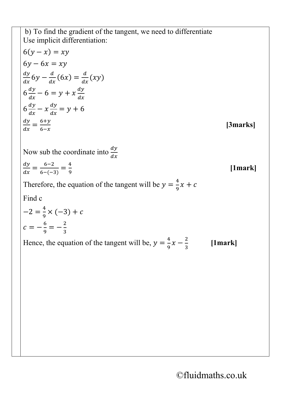b) To find the gradient of the tangent, we need to differentiate Use implicit differentiation:

$$
6(y - x) = xy
$$
  
\n
$$
6y - 6x = xy
$$
  
\n
$$
\frac{dy}{dx}6y - \frac{d}{dx}(6x) = \frac{d}{dx}(xy)
$$
  
\n
$$
6\frac{dy}{dx} - 6 = y + x\frac{dy}{dx}
$$
  
\n
$$
6\frac{dy}{dx} - x\frac{dy}{dx} = y + 6
$$
  
\n
$$
\frac{dy}{dx} = \frac{6+y}{6-x}
$$
 [3marks]

Now sub the coordinate into  $\frac{dy}{dx}$  $dx$ 

 $\frac{dy}{dx} = \frac{6-2}{6-(-3)} = \frac{4}{9}$ **[1mark]**

Therefore, the equation of the tangent will be  $y = \frac{4}{9}x + c$ 

Find c

$$
-2 = \frac{4}{9} \times (-3) + c
$$
  

$$
c = -\frac{6}{9} = -\frac{2}{3}
$$

Hence, the equation of the tangent will be,  $y = \frac{4}{9}x - \frac{2}{3}$ **[1mark]**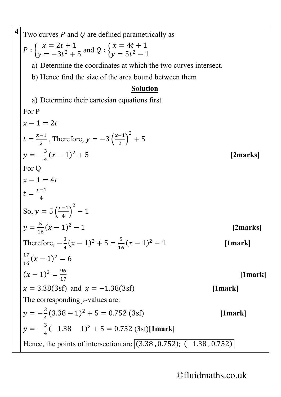4 Two curves P and Q are defined parametrically as  
\n
$$
P: \begin{cases}\nx = 2t + 1 \\
y = -3t^2 + 5 \text{ and } Q: \begin{cases}\nx = 4t + 1 \\
y = 5t^2 - 1\n\end{cases}
$$
\na) Determine the coordinates at which the two curves intersect.  
\nb) Hence find the size of the area bound between them  
\n**Solution**  
\na) Determine their cartesian equations first  
\nFor P  
\n $x - 1 = 2t$   
\n $t = \frac{x-1}{2}$ , Therefore,  $y = -3(\frac{x-1}{2})^2 + 5$   
\n $y = -\frac{3}{4}(x-1)^2 + 5$   
\nFor Q  
\n $x - 1 = 4t$   
\n $t = \frac{x-1}{4}$   
\nSo,  $y = 5(\frac{x-1}{4})^2 - 1$   
\n $y = \frac{5}{16}(x-1)^2 - 1$   
\n $y = \frac{5}{16}(x-1)^2 - 1$   
\nTherefore,  $-\frac{3}{4}(x-1)^2 + 5 = \frac{5}{16}(x-1)^2 - 1$   
\nTherefore,  $-\frac{3}{4}(x-1)^2 = 6$   
\n $(x-1)^2 = \frac{96}{17}$   
\n[1mark]  
\n $x = 3.38(3sf)$  and  $x = -1.38(3sf)$   
\nThe corresponding y-values are:  
\n $y = -\frac{3}{4}(3.38 - 1)^2 + 5 = 0.752 (3sf)$   
\n[1mark]  
\nHence, the points of intersection are  $\boxed{(3.38, 0.752)$ ;  $(-1.38, 0.752)$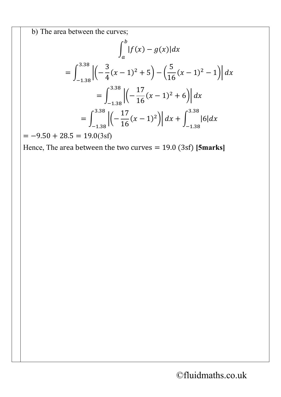b) The area between the curves;

$$
\int_{a}^{b} |f(x) - g(x)| dx
$$
  
= 
$$
\int_{-1.38}^{3.38} \left| \left( -\frac{3}{4} (x - 1)^2 + 5 \right) - \left( \frac{5}{16} (x - 1)^2 - 1 \right) \right| dx
$$
  
= 
$$
\int_{-1.38}^{3.38} \left| \left( -\frac{17}{16} (x - 1)^2 + 6 \right) \right| dx
$$
  
= 
$$
\int_{-1.38}^{3.38} \left| \left( -\frac{17}{16} (x - 1)^2 \right) \right| dx + \int_{-1.38}^{3.38} |6| dx
$$

 $=-9.50 + 28.5 = 19.0(3sf)$ 

Hence, The area between the two curves = 19.0 (3sf) **[5marks]**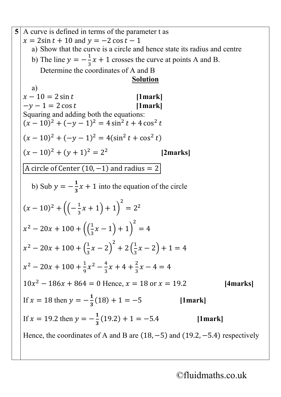5 A curve is defined in terms of the parameter t as  
\n
$$
x = 2\sin t + 10
$$
 and  $y = -2\cos t - 1$   
\na) Show that the curve is a circle and hence state its radius and centre  
\nb) The line  $y = -\frac{1}{3}x + 1$  crosses the curve at points A and B.  
\nDetermine the coordinates of A and B  
\n**Solution**  
\na)  
\n $x - 10 = 2 \sin t$  [1mark]  
\nSquaring and adding both the equations:  
\n $(x - 10)^2 + (-y - 1)^2 = 4\sin^2 t + 4\cos^2 t$   
\n $(x - 10)^2 + (y + 1)^2 = 2^2$  [2marks]  
\n $\boxed{A circle of Center (10, -1) and radius = 2}$   
\nb) Sub  $y = -\frac{1}{3}x + 1$  into the equation of the circle  
\n $(x - 10)^2 + ((-\frac{1}{3}x + 1) + 1)^2 = 2^2$   
\n $x^2 - 20x + 100 + ((\frac{1}{3}x - 1) + 1)^2 = 4$   
\n $x^2 - 20x + 100 + (\frac{1}{3}x - 2)^2 + 2(\frac{1}{3}x - 2) + 1 = 4$   
\n $x^2 - 20x + 100 + (\frac{1}{3}x - 2)^2 + 2(\frac{1}{3}x - 2) + 1 = 4$   
\n $x^2 - 20x + 100 + (\frac{1}{3}x - 2)^2 + 2(\frac{1}{3}x - 2) + 1 = 4$   
\n $x^2 - 20x + 100 + \frac{1}{9}x^2 - \frac{4}{3}x + 4 + \frac{2}{3}x - 4 = 4$   
\n $10x^2 - 186x + 864 = 0$  Hence,  $x = 18$  or  $x = 19.2$  [4marks]  
\nIf  $x = 18$  then  $y = -\frac{1}{3}(18) + 1 = -5$  [1mark]  
\nIf  $x = 19.2$  then  $y = -\frac{1}{3}(19.2) + 1 = -5.4$  [1mark]  
\nHence, the coordinates of A and B are (18, -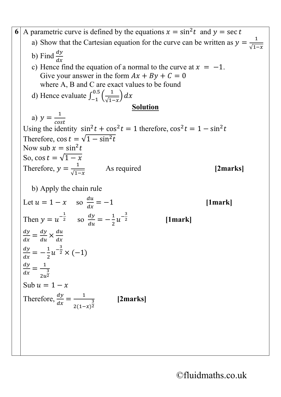**6** A parametric curve is defined by the equations  $x = \sin^2 t$  and  $y = \sec t$ a) Show that the Cartesian equation for the curve can be written as  $y = \frac{1}{\sqrt{1-1}}$ b) Find  $\frac{dy}{dx}$  $dx$ c) Hence find the equation of a normal to the curve at  $x = -1$ . Give your answer in the form  $Ax + By + C = 0$ where A, B and C are exact values to be found d) Hence evaluate  $\int_{-1}^{0.5} \left( \frac{1}{\sqrt{1-x}} \right) dx$ **Solution** a)  $y = \frac{1}{\cos t}$  $\cos$ Using the identity  $\sin^2 t + \cos^2 t = 1$  therefore,  $\cos^2 t = 1 - \sin^2 t$ Therefore,  $\cos t = \sqrt{1 - \sin^2 t}$ Now sub  $x = \sin^2 t$ So, cos  $t = \sqrt{1-x}$ Therefore,  $y = \frac{1}{\sqrt{1-x}}$ √1− As required **[2marks]** b) Apply the chain rule Let  $u = 1 - x$  so  $\frac{du}{dx} = -1$  [1mark] Then  $y = u^{-\frac{1}{2}}$  so  $\frac{dy}{du} = -\frac{1}{2}u^{-\frac{3}{2}}$ <sup>2</sup> **[1mark]**  $\frac{dy}{dx} = \frac{dy}{du} \times \frac{du}{dx}$  $dx$  $\frac{dy}{dx} = -\frac{1}{2}u^{-\frac{3}{2}} \times (-1)$  $\frac{dy}{dx} = \frac{1}{2u}$ 3 2 Sub  $u = 1 - x$ Therefore,  $\frac{dy}{dx} = \frac{1}{2(1-x)}$ 3 2 **[2marks]**